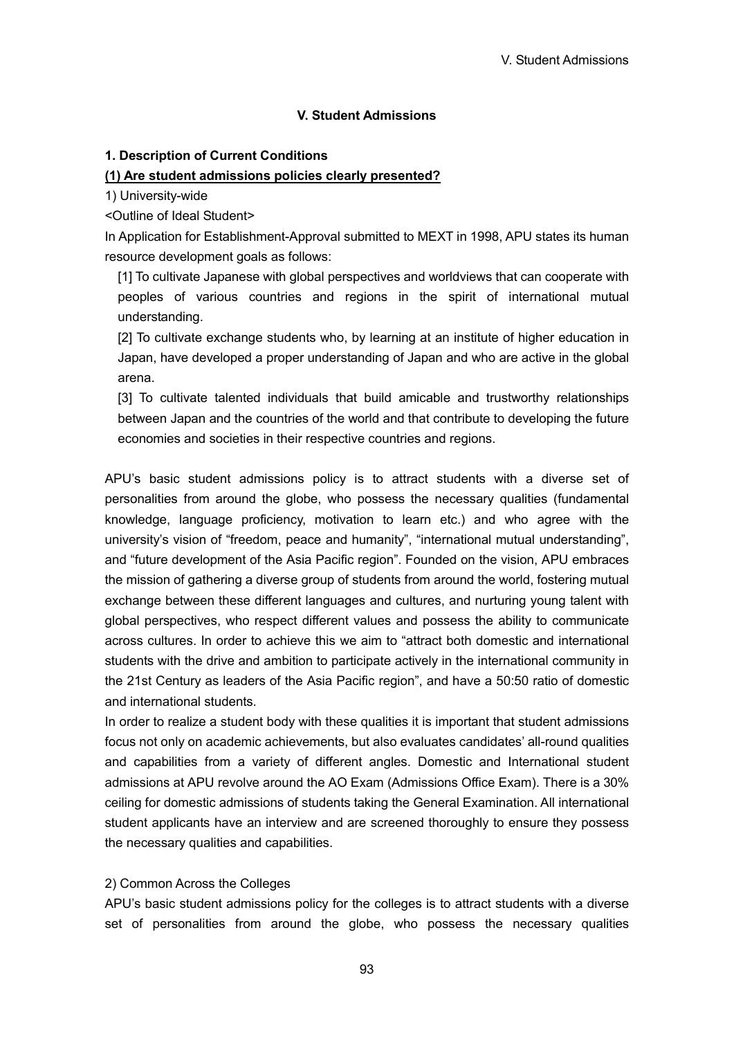### **V. Student Admissions**

#### **1. Description of Current Conditions**

#### **(1) Are student admissions policies clearly presented?**

1) University-wide

<Outline of Ideal Student>

In Application for Establishment-Approval submitted to MEXT in 1998, APU states its human resource development goals as follows:

[1] To cultivate Japanese with global perspectives and worldviews that can cooperate with peoples of various countries and regions in the spirit of international mutual understanding.

[2] To cultivate exchange students who, by learning at an institute of higher education in Japan, have developed a proper understanding of Japan and who are active in the global arena.

[3] To cultivate talented individuals that build amicable and trustworthy relationships between Japan and the countries of the world and that contribute to developing the future economies and societies in their respective countries and regions.

APU's basic student admissions policy is to attract students with a diverse set of personalities from around the globe, who possess the necessary qualities (fundamental knowledge, language proficiency, motivation to learn etc.) and who agree with the university's vision of "freedom, peace and humanity", "international mutual understanding", and "future development of the Asia Pacific region". Founded on the vision, APU embraces the mission of gathering a diverse group of students from around the world, fostering mutual exchange between these different languages and cultures, and nurturing young talent with global perspectives, who respect different values and possess the ability to communicate across cultures. In order to achieve this we aim to "attract both domestic and international students with the drive and ambition to participate actively in the international community in the 21st Century as leaders of the Asia Pacific region", and have a 50:50 ratio of domestic and international students.

In order to realize a student body with these qualities it is important that student admissions focus not only on academic achievements, but also evaluates candidates' all-round qualities and capabilities from a variety of different angles. Domestic and International student admissions at APU revolve around the AO Exam (Admissions Office Exam). There is a 30% ceiling for domestic admissions of students taking the General Examination. All international student applicants have an interview and are screened thoroughly to ensure they possess the necessary qualities and capabilities.

#### 2) Common Across the Colleges

APU's basic student admissions policy for the colleges is to attract students with a diverse set of personalities from around the globe, who possess the necessary qualities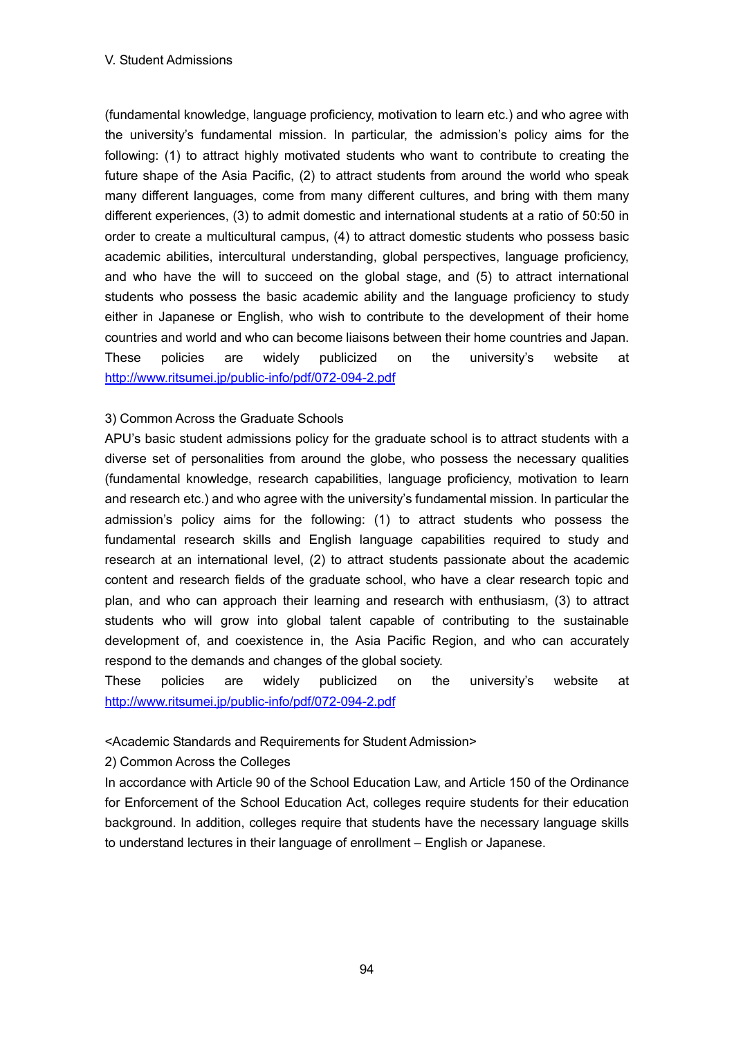(fundamental knowledge, language proficiency, motivation to learn etc.) and who agree with the university's fundamental mission. In particular, the admission's policy aims for the following: (1) to attract highly motivated students who want to contribute to creating the future shape of the Asia Pacific, (2) to attract students from around the world who speak many different languages, come from many different cultures, and bring with them many different experiences, (3) to admit domestic and international students at a ratio of 50:50 in order to create a multicultural campus, (4) to attract domestic students who possess basic academic abilities, intercultural understanding, global perspectives, language proficiency, and who have the will to succeed on the global stage, and (5) to attract international students who possess the basic academic ability and the language proficiency to study either in Japanese or English, who wish to contribute to the development of their home countries and world and who can become liaisons between their home countries and Japan. These policies are widely publicized on the university's website at http://www.ritsumei.jp/public-info/pdf/072-094-2.pdf

# 3) Common Across the Graduate Schools

APU's basic student admissions policy for the graduate school is to attract students with a diverse set of personalities from around the globe, who possess the necessary qualities (fundamental knowledge, research capabilities, language proficiency, motivation to learn and research etc.) and who agree with the university's fundamental mission. In particular the admission's policy aims for the following: (1) to attract students who possess the fundamental research skills and English language capabilities required to study and research at an international level, (2) to attract students passionate about the academic content and research fields of the graduate school, who have a clear research topic and plan, and who can approach their learning and research with enthusiasm, (3) to attract students who will grow into global talent capable of contributing to the sustainable development of, and coexistence in, the Asia Pacific Region, and who can accurately respond to the demands and changes of the global society.

These policies are widely publicized on the university's website at http://www.ritsumei.jp/public-info/pdf/072-094-2.pdf

# <Academic Standards and Requirements for Student Admission>

2) Common Across the Colleges

In accordance with Article 90 of the School Education Law, and Article 150 of the Ordinance for Enforcement of the School Education Act, colleges require students for their education background. In addition, colleges require that students have the necessary language skills to understand lectures in their language of enrollment – English or Japanese.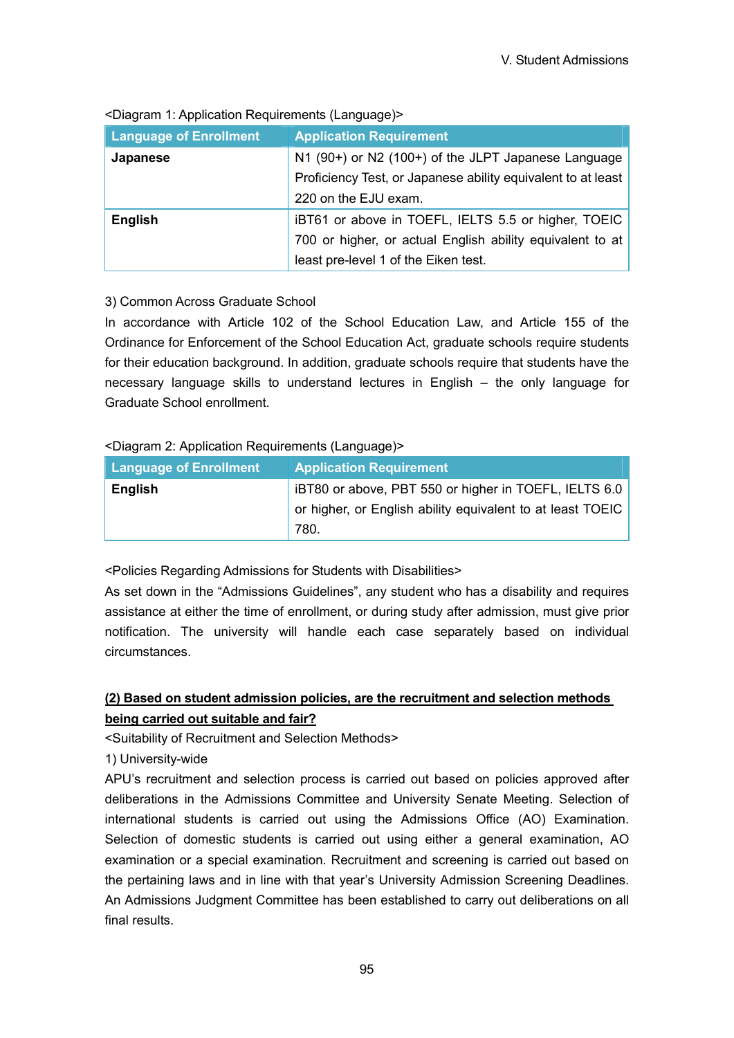| <b>Language of Enrollment</b> | <b>Application Requirement</b>                               |  |  |  |
|-------------------------------|--------------------------------------------------------------|--|--|--|
| Japanese                      | N1 (90+) or N2 (100+) of the JLPT Japanese Language          |  |  |  |
|                               | Proficiency Test, or Japanese ability equivalent to at least |  |  |  |
|                               | 220 on the EJU exam.                                         |  |  |  |
| <b>English</b>                | iBT61 or above in TOEFL, IELTS 5.5 or higher, TOEIC          |  |  |  |
|                               | 700 or higher, or actual English ability equivalent to at    |  |  |  |
|                               | least pre-level 1 of the Eiken test.                         |  |  |  |

<Diagram 1: Application Requirements (Language)>

# 3) Common Across Graduate School

In accordance with Article 102 of the School Education Law, and Article 155 of the Ordinance for Enforcement of the School Education Act, graduate schools require students for their education background. In addition, graduate schools require that students have the necessary language skills to understand lectures in English – the only language for Graduate School enrollment.

### <Diagram 2: Application Requirements (Language)>

| <b>Language of Enrollment</b> | <b>Application Requirement</b>                             |
|-------------------------------|------------------------------------------------------------|
| <b>English</b>                | iBT80 or above, PBT 550 or higher in TOEFL, IELTS 6.0      |
|                               | or higher, or English ability equivalent to at least TOEIC |
|                               | 780.                                                       |

<Policies Regarding Admissions for Students with Disabilities>

As set down in the "Admissions Guidelines", any student who has a disability and requires assistance at either the time of enrollment, or during study after admission, must give prior notification. The university will handle each case separately based on individual circumstances.

# **(2) Based on student admission policies, are the recruitment and selection methods being carried out suitable and fair?**

<Suitability of Recruitment and Selection Methods>

1) University-wide

APU's recruitment and selection process is carried out based on policies approved after deliberations in the Admissions Committee and University Senate Meeting. Selection of international students is carried out using the Admissions Office (AO) Examination. Selection of domestic students is carried out using either a general examination, AO examination or a special examination. Recruitment and screening is carried out based on the pertaining laws and in line with that year's University Admission Screening Deadlines. An Admissions Judgment Committee has been established to carry out deliberations on all final results.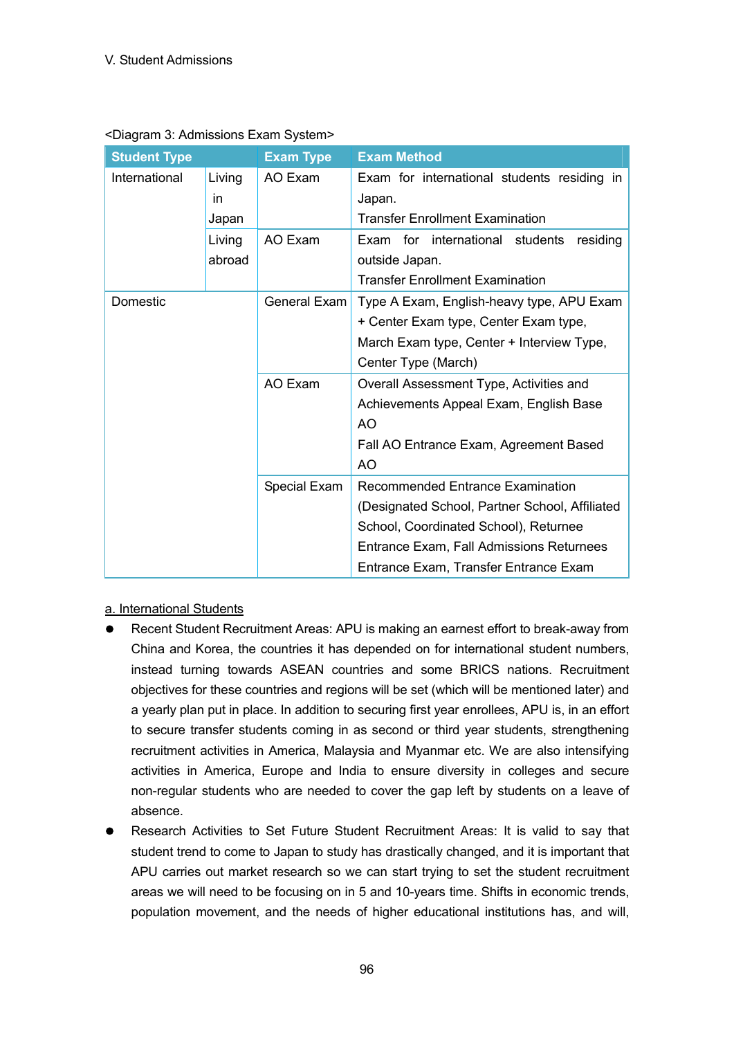| <b>Student Type</b> |                       | <b>Exam Type</b>                                                                                           | <b>Exam Method</b>                                                                                                                                                                                               |  |  |  |
|---------------------|-----------------------|------------------------------------------------------------------------------------------------------------|------------------------------------------------------------------------------------------------------------------------------------------------------------------------------------------------------------------|--|--|--|
| International       | Living<br>in<br>Japan | AO Exam<br>Exam for international students residing in<br>Japan.<br><b>Transfer Enrollment Examination</b> |                                                                                                                                                                                                                  |  |  |  |
|                     | Living<br>abroad      | AO Exam                                                                                                    | Exam for international students<br>residing<br>outside Japan.<br><b>Transfer Enrollment Examination</b>                                                                                                          |  |  |  |
| Domestic            |                       | General Exam                                                                                               | Type A Exam, English-heavy type, APU Exam<br>+ Center Exam type, Center Exam type,<br>March Exam type, Center + Interview Type,<br>Center Type (March)                                                           |  |  |  |
|                     |                       | AO Exam                                                                                                    | Overall Assessment Type, Activities and<br>Achievements Appeal Exam, English Base<br>AO<br>Fall AO Entrance Exam, Agreement Based<br>A <sub>O</sub>                                                              |  |  |  |
|                     |                       | Special Exam                                                                                               | Recommended Entrance Examination<br>(Designated School, Partner School, Affiliated<br>School, Coordinated School), Returnee<br>Entrance Exam, Fall Admissions Returnees<br>Entrance Exam, Transfer Entrance Exam |  |  |  |

### <Diagram 3: Admissions Exam System>

a. International Students

- Recent Student Recruitment Areas: APU is making an earnest effort to break-away from China and Korea, the countries it has depended on for international student numbers, instead turning towards ASEAN countries and some BRICS nations. Recruitment objectives for these countries and regions will be set (which will be mentioned later) and a yearly plan put in place. In addition to securing first year enrollees, APU is, in an effort to secure transfer students coming in as second or third year students, strengthening recruitment activities in America, Malaysia and Myanmar etc. We are also intensifying activities in America, Europe and India to ensure diversity in colleges and secure non-regular students who are needed to cover the gap left by students on a leave of absence.
- Research Activities to Set Future Student Recruitment Areas: It is valid to say that student trend to come to Japan to study has drastically changed, and it is important that APU carries out market research so we can start trying to set the student recruitment areas we will need to be focusing on in 5 and 10-years time. Shifts in economic trends, population movement, and the needs of higher educational institutions has, and will,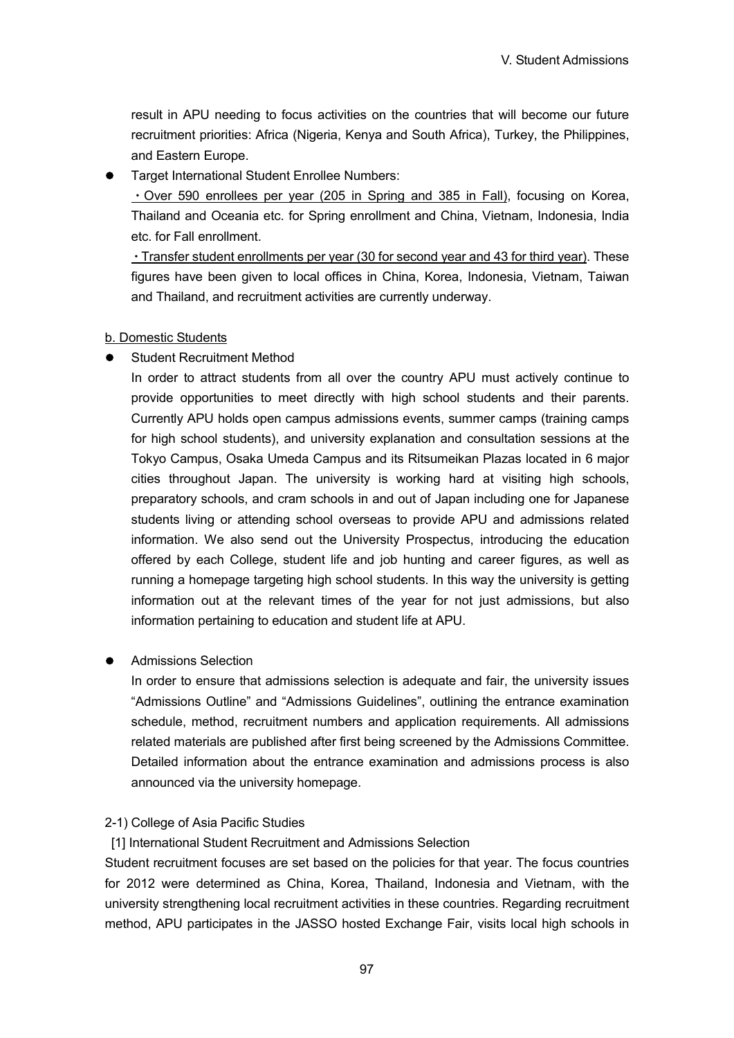result in APU needing to focus activities on the countries that will become our future recruitment priorities: Africa (Nigeria, Kenya and South Africa), Turkey, the Philippines, and Eastern Europe.

Target International Student Enrollee Numbers:

・Over 590 enrollees per year (205 in Spring and 385 in Fall), focusing on Korea, Thailand and Oceania etc. for Spring enrollment and China, Vietnam, Indonesia, India etc. for Fall enrollment.

・Transfer student enrollments per year (30 for second year and 43 for third year). These figures have been given to local offices in China, Korea, Indonesia, Vietnam, Taiwan and Thailand, and recruitment activities are currently underway.

#### b. Domestic Students

Student Recruitment Method

In order to attract students from all over the country APU must actively continue to provide opportunities to meet directly with high school students and their parents. Currently APU holds open campus admissions events, summer camps (training camps for high school students), and university explanation and consultation sessions at the Tokyo Campus, Osaka Umeda Campus and its Ritsumeikan Plazas located in 6 major cities throughout Japan. The university is working hard at visiting high schools, preparatory schools, and cram schools in and out of Japan including one for Japanese students living or attending school overseas to provide APU and admissions related information. We also send out the University Prospectus, introducing the education offered by each College, student life and job hunting and career figures, as well as running a homepage targeting high school students. In this way the university is getting information out at the relevant times of the year for not just admissions, but also information pertaining to education and student life at APU.

### Admissions Selection

In order to ensure that admissions selection is adequate and fair, the university issues "Admissions Outline" and "Admissions Guidelines", outlining the entrance examination schedule, method, recruitment numbers and application requirements. All admissions related materials are published after first being screened by the Admissions Committee. Detailed information about the entrance examination and admissions process is also announced via the university homepage.

#### 2-1) College of Asia Pacific Studies

[1] International Student Recruitment and Admissions Selection

Student recruitment focuses are set based on the policies for that year. The focus countries for 2012 were determined as China, Korea, Thailand, Indonesia and Vietnam, with the university strengthening local recruitment activities in these countries. Regarding recruitment method, APU participates in the JASSO hosted Exchange Fair, visits local high schools in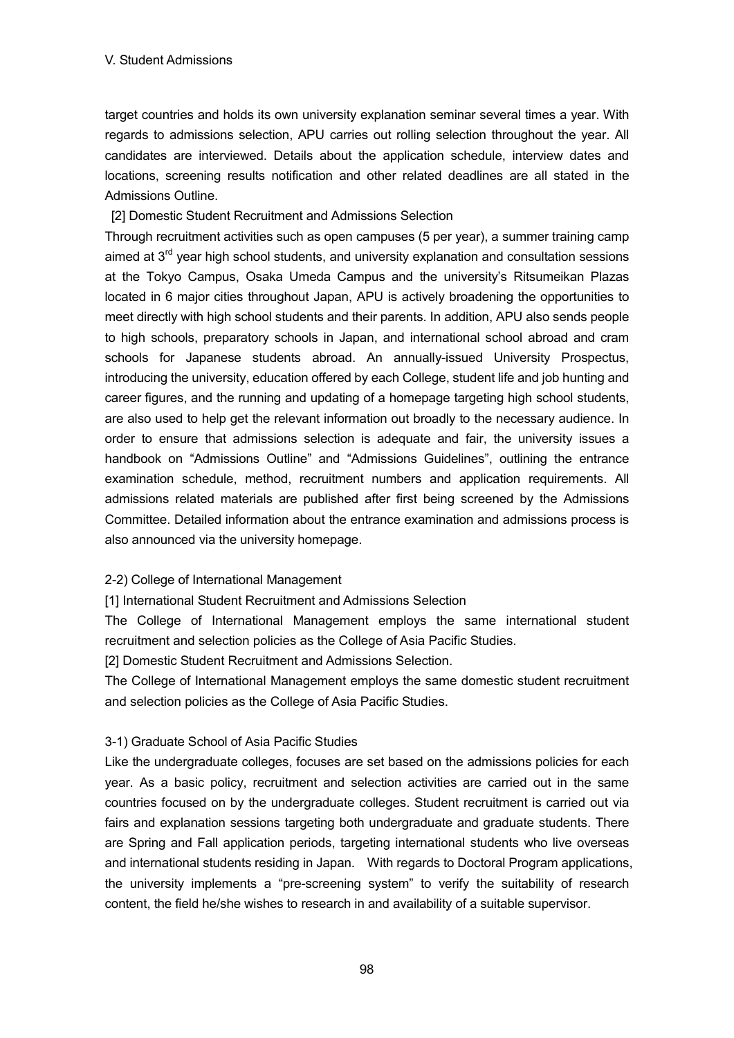target countries and holds its own university explanation seminar several times a year. With regards to admissions selection, APU carries out rolling selection throughout the year. All candidates are interviewed. Details about the application schedule, interview dates and locations, screening results notification and other related deadlines are all stated in the Admissions Outline.

[2] Domestic Student Recruitment and Admissions Selection

Through recruitment activities such as open campuses (5 per year), a summer training camp aimed at 3<sup>rd</sup> year high school students, and university explanation and consultation sessions at the Tokyo Campus, Osaka Umeda Campus and the university's Ritsumeikan Plazas located in 6 major cities throughout Japan, APU is actively broadening the opportunities to meet directly with high school students and their parents. In addition, APU also sends people to high schools, preparatory schools in Japan, and international school abroad and cram schools for Japanese students abroad. An annually-issued University Prospectus, introducing the university, education offered by each College, student life and job hunting and career figures, and the running and updating of a homepage targeting high school students, are also used to help get the relevant information out broadly to the necessary audience. In order to ensure that admissions selection is adequate and fair, the university issues a handbook on "Admissions Outline" and "Admissions Guidelines", outlining the entrance examination schedule, method, recruitment numbers and application requirements. All admissions related materials are published after first being screened by the Admissions Committee. Detailed information about the entrance examination and admissions process is also announced via the university homepage.

### 2-2) College of International Management

[1] International Student Recruitment and Admissions Selection

The College of International Management employs the same international student recruitment and selection policies as the College of Asia Pacific Studies.

[2] Domestic Student Recruitment and Admissions Selection.

The College of International Management employs the same domestic student recruitment and selection policies as the College of Asia Pacific Studies.

#### 3-1) Graduate School of Asia Pacific Studies

Like the undergraduate colleges, focuses are set based on the admissions policies for each year. As a basic policy, recruitment and selection activities are carried out in the same countries focused on by the undergraduate colleges. Student recruitment is carried out via fairs and explanation sessions targeting both undergraduate and graduate students. There are Spring and Fall application periods, targeting international students who live overseas and international students residing in Japan. With regards to Doctoral Program applications, the university implements a "pre-screening system" to verify the suitability of research content, the field he/she wishes to research in and availability of a suitable supervisor.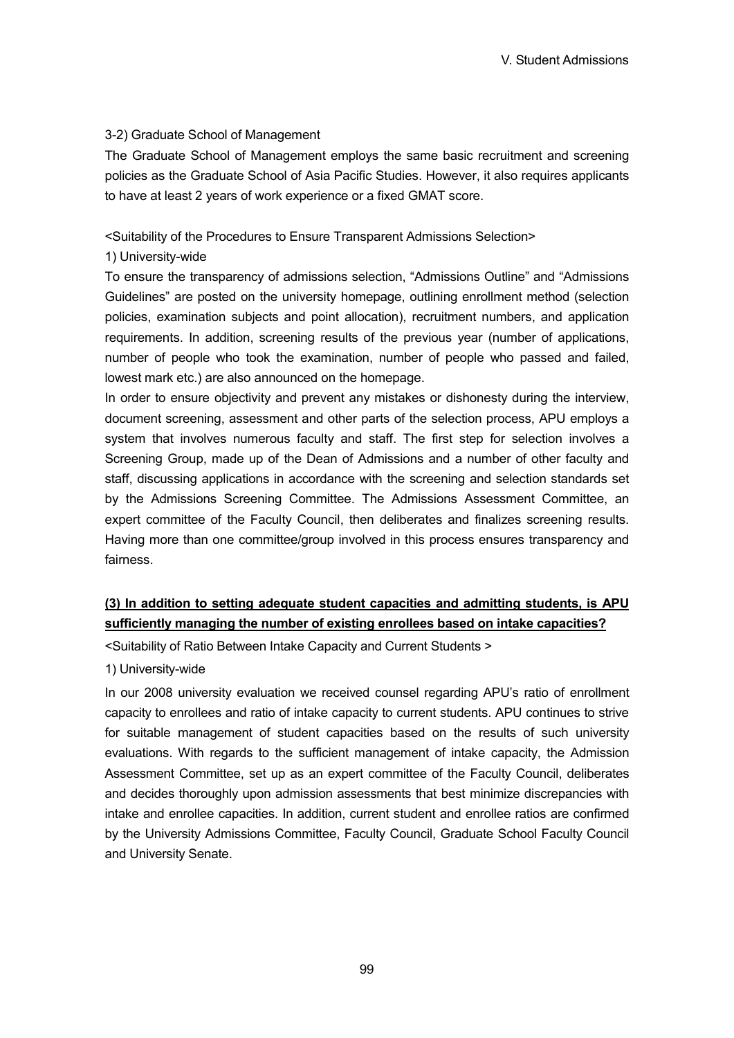#### 3-2) Graduate School of Management

The Graduate School of Management employs the same basic recruitment and screening policies as the Graduate School of Asia Pacific Studies. However, it also requires applicants to have at least 2 years of work experience or a fixed GMAT score.

### <Suitability of the Procedures to Ensure Transparent Admissions Selection>

### 1) University-wide

To ensure the transparency of admissions selection, "Admissions Outline" and "Admissions Guidelines" are posted on the university homepage, outlining enrollment method (selection policies, examination subjects and point allocation), recruitment numbers, and application requirements. In addition, screening results of the previous year (number of applications, number of people who took the examination, number of people who passed and failed, lowest mark etc.) are also announced on the homepage.

In order to ensure objectivity and prevent any mistakes or dishonesty during the interview, document screening, assessment and other parts of the selection process, APU employs a system that involves numerous faculty and staff. The first step for selection involves a Screening Group, made up of the Dean of Admissions and a number of other faculty and staff, discussing applications in accordance with the screening and selection standards set by the Admissions Screening Committee. The Admissions Assessment Committee, an expert committee of the Faculty Council, then deliberates and finalizes screening results. Having more than one committee/group involved in this process ensures transparency and fairness.

# **(3) In addition to setting adequate student capacities and admitting students, is APU sufficiently managing the number of existing enrollees based on intake capacities?**

<Suitability of Ratio Between Intake Capacity and Current Students >

1) University-wide

In our 2008 university evaluation we received counsel regarding APU's ratio of enrollment capacity to enrollees and ratio of intake capacity to current students. APU continues to strive for suitable management of student capacities based on the results of such university evaluations. With regards to the sufficient management of intake capacity, the Admission Assessment Committee, set up as an expert committee of the Faculty Council, deliberates and decides thoroughly upon admission assessments that best minimize discrepancies with intake and enrollee capacities. In addition, current student and enrollee ratios are confirmed by the University Admissions Committee, Faculty Council, Graduate School Faculty Council and University Senate.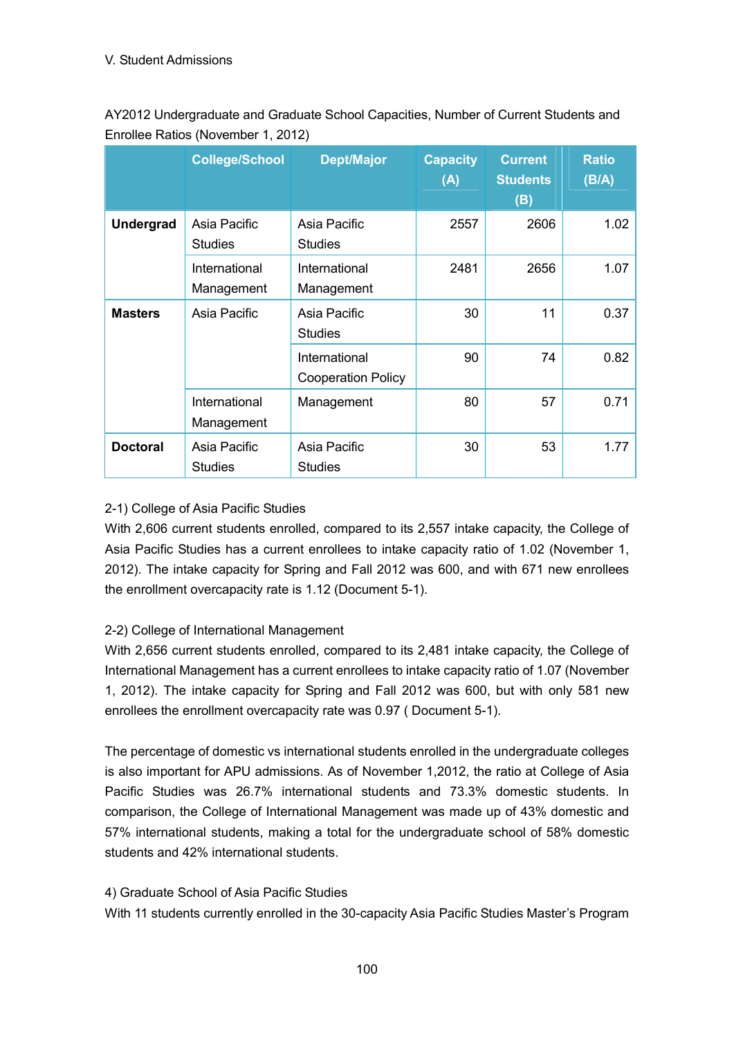AY2012 Undergraduate and Graduate School Capacities, Number of Current Students and Enrollee Ratios (November 1, 2012)

|                  | <b>College/School</b>          | <b>Dept/Major</b>                          | <b>Capacity</b><br>(A) | <b>Current</b><br><b>Students</b><br>(B) | <b>Ratio</b><br>(B/A) |
|------------------|--------------------------------|--------------------------------------------|------------------------|------------------------------------------|-----------------------|
| <b>Undergrad</b> | Asia Pacific<br><b>Studies</b> | Asia Pacific<br><b>Studies</b>             | 2557                   | 2606                                     | 1.02                  |
|                  | International<br>Management    | International<br>Management                | 2481                   | 2656                                     | 1.07                  |
| <b>Masters</b>   | Asia Pacific                   | Asia Pacific<br><b>Studies</b>             | 30                     | 11                                       | 0.37                  |
|                  |                                | International<br><b>Cooperation Policy</b> | 90                     | 74                                       | 0.82                  |
|                  | International<br>Management    | Management                                 | 80                     | 57                                       | 0.71                  |
| <b>Doctoral</b>  | Asia Pacific<br><b>Studies</b> | Asia Pacific<br><b>Studies</b>             | 30                     | 53                                       | 1.77                  |

# 2-1) College of Asia Pacific Studies

With 2,606 current students enrolled, compared to its 2,557 intake capacity, the College of Asia Pacific Studies has a current enrollees to intake capacity ratio of 1.02 (November 1, 2012). The intake capacity for Spring and Fall 2012 was 600, and with 671 new enrollees the enrollment overcapacity rate is 1.12 (Document 5-1).

# 2-2) College of International Management

With 2,656 current students enrolled, compared to its 2,481 intake capacity, the College of International Management has a current enrollees to intake capacity ratio of 1.07 (November 1, 2012). The intake capacity for Spring and Fall 2012 was 600, but with only 581 new enrollees the enrollment overcapacity rate was 0.97 ( Document 5-1).

The percentage of domestic vs international students enrolled in the undergraduate colleges is also important for APU admissions. As of November 1,2012, the ratio at College of Asia Pacific Studies was 26.7% international students and 73.3% domestic students. In comparison, the College of International Management was made up of 43% domestic and 57% international students, making a total for the undergraduate school of 58% domestic students and 42% international students.

# 4) Graduate School of Asia Pacific Studies

With 11 students currently enrolled in the 30-capacity Asia Pacific Studies Master's Program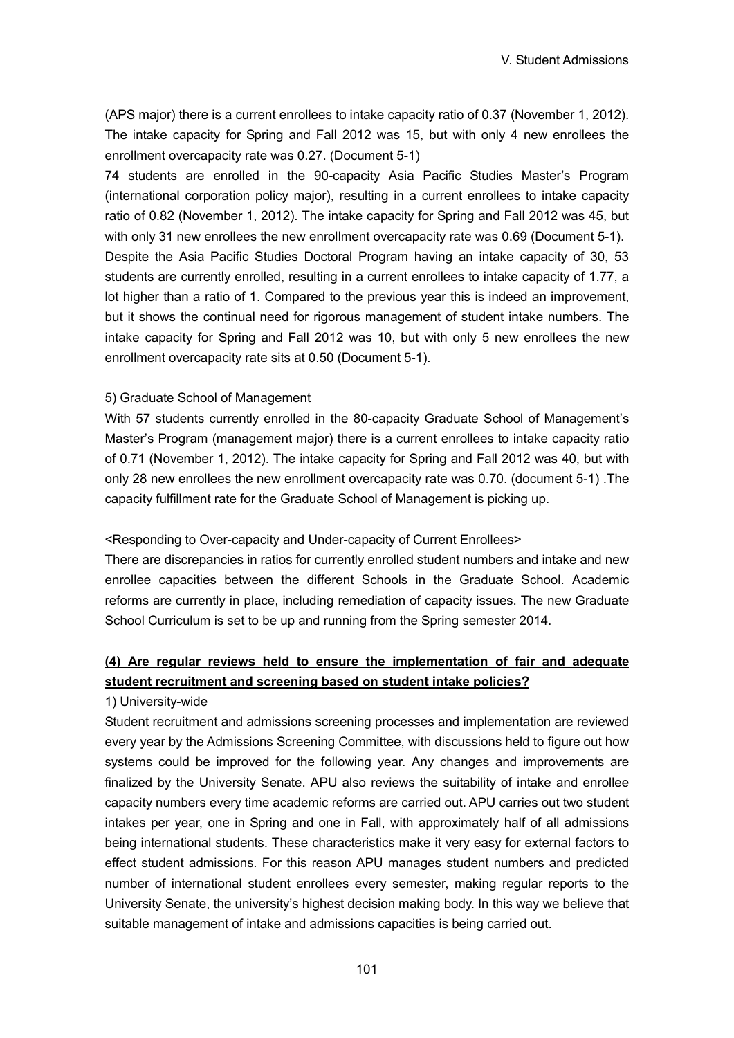(APS major) there is a current enrollees to intake capacity ratio of 0.37 (November 1, 2012). The intake capacity for Spring and Fall 2012 was 15, but with only 4 new enrollees the enrollment overcapacity rate was 0.27. (Document 5-1)

74 students are enrolled in the 90-capacity Asia Pacific Studies Master's Program (international corporation policy major), resulting in a current enrollees to intake capacity ratio of 0.82 (November 1, 2012). The intake capacity for Spring and Fall 2012 was 45, but with only 31 new enrollees the new enrollment overcapacity rate was 0.69 (Document 5-1). Despite the Asia Pacific Studies Doctoral Program having an intake capacity of 30, 53 students are currently enrolled, resulting in a current enrollees to intake capacity of 1.77, a lot higher than a ratio of 1. Compared to the previous year this is indeed an improvement, but it shows the continual need for rigorous management of student intake numbers. The intake capacity for Spring and Fall 2012 was 10, but with only 5 new enrollees the new enrollment overcapacity rate sits at 0.50 (Document 5-1).

#### 5) Graduate School of Management

With 57 students currently enrolled in the 80-capacity Graduate School of Management's Master's Program (management major) there is a current enrollees to intake capacity ratio of 0.71 (November 1, 2012). The intake capacity for Spring and Fall 2012 was 40, but with only 28 new enrollees the new enrollment overcapacity rate was 0.70. (document 5-1) .The capacity fulfillment rate for the Graduate School of Management is picking up.

#### <Responding to Over-capacity and Under-capacity of Current Enrollees>

There are discrepancies in ratios for currently enrolled student numbers and intake and new enrollee capacities between the different Schools in the Graduate School. Academic reforms are currently in place, including remediation of capacity issues. The new Graduate School Curriculum is set to be up and running from the Spring semester 2014.

# **(4) Are regular reviews held to ensure the implementation of fair and adequate student recruitment and screening based on student intake policies?**

#### 1) University-wide

Student recruitment and admissions screening processes and implementation are reviewed every year by the Admissions Screening Committee, with discussions held to figure out how systems could be improved for the following year. Any changes and improvements are finalized by the University Senate. APU also reviews the suitability of intake and enrollee capacity numbers every time academic reforms are carried out. APU carries out two student intakes per year, one in Spring and one in Fall, with approximately half of all admissions being international students. These characteristics make it very easy for external factors to effect student admissions. For this reason APU manages student numbers and predicted number of international student enrollees every semester, making regular reports to the University Senate, the university's highest decision making body. In this way we believe that suitable management of intake and admissions capacities is being carried out.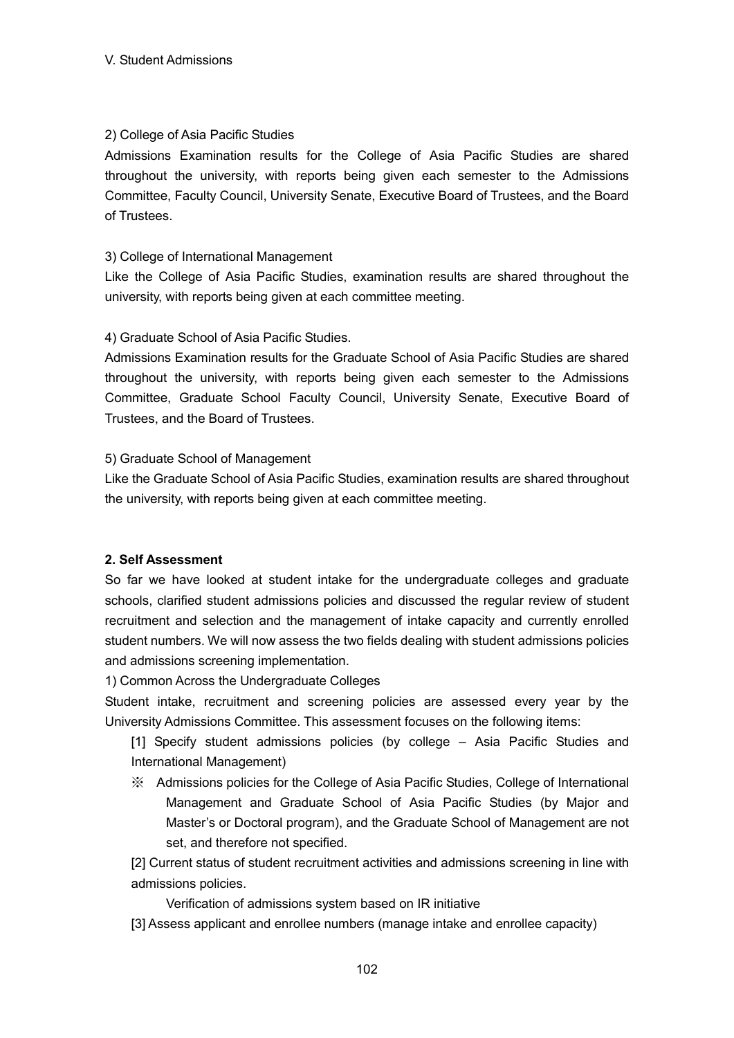# 2) College of Asia Pacific Studies

Admissions Examination results for the College of Asia Pacific Studies are shared throughout the university, with reports being given each semester to the Admissions Committee, Faculty Council, University Senate, Executive Board of Trustees, and the Board of Trustees.

# 3) College of International Management

Like the College of Asia Pacific Studies, examination results are shared throughout the university, with reports being given at each committee meeting.

# 4) Graduate School of Asia Pacific Studies.

Admissions Examination results for the Graduate School of Asia Pacific Studies are shared throughout the university, with reports being given each semester to the Admissions Committee, Graduate School Faculty Council, University Senate, Executive Board of Trustees, and the Board of Trustees.

### 5) Graduate School of Management

Like the Graduate School of Asia Pacific Studies, examination results are shared throughout the university, with reports being given at each committee meeting.

### **2. Self Assessment**

So far we have looked at student intake for the undergraduate colleges and graduate schools, clarified student admissions policies and discussed the regular review of student recruitment and selection and the management of intake capacity and currently enrolled student numbers. We will now assess the two fields dealing with student admissions policies and admissions screening implementation.

1) Common Across the Undergraduate Colleges

Student intake, recruitment and screening policies are assessed every year by the University Admissions Committee. This assessment focuses on the following items:

[1] Specify student admissions policies (by college – Asia Pacific Studies and International Management)

※ Admissions policies for the College of Asia Pacific Studies, College of International Management and Graduate School of Asia Pacific Studies (by Major and Master's or Doctoral program), and the Graduate School of Management are not set, and therefore not specified.

[2] Current status of student recruitment activities and admissions screening in line with admissions policies.

Verification of admissions system based on IR initiative

[3] Assess applicant and enrollee numbers (manage intake and enrollee capacity)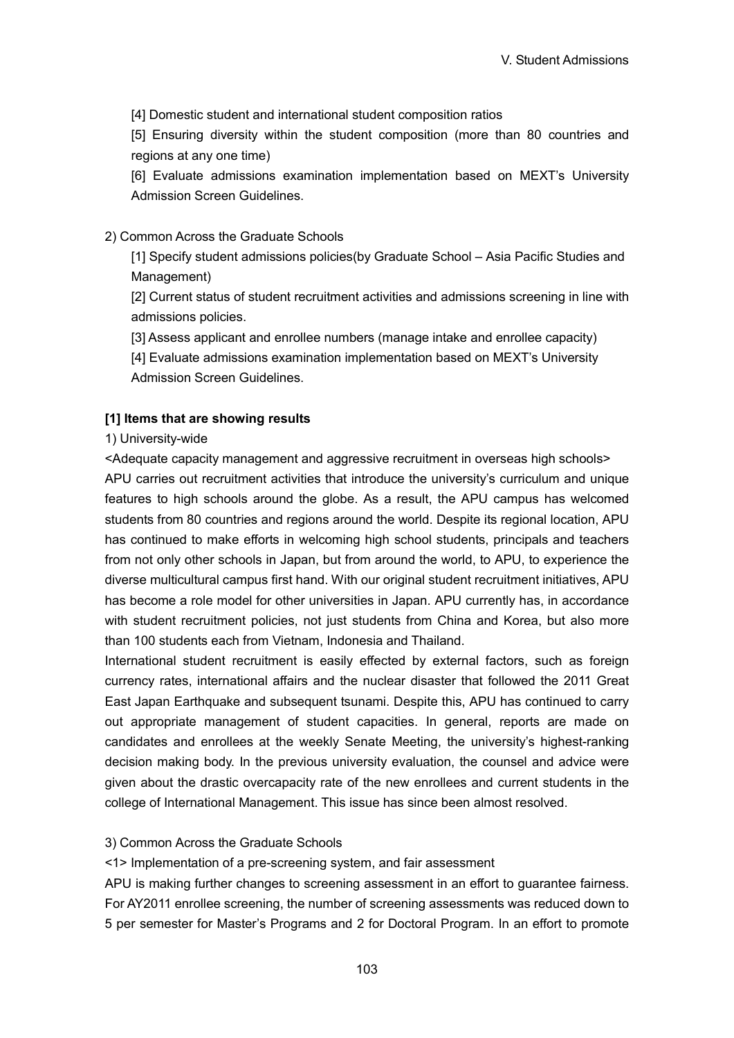[4] Domestic student and international student composition ratios

[5] Ensuring diversity within the student composition (more than 80 countries and regions at any one time)

[6] Evaluate admissions examination implementation based on MEXT's University Admission Screen Guidelines.

#### 2) Common Across the Graduate Schools

[1] Specify student admissions policies(by Graduate School – Asia Pacific Studies and Management)

[2] Current status of student recruitment activities and admissions screening in line with admissions policies.

[3] Assess applicant and enrollee numbers (manage intake and enrollee capacity)

[4] Evaluate admissions examination implementation based on MEXT's University Admission Screen Guidelines.

#### **[1] Items that are showing results**

#### 1) University-wide

<Adequate capacity management and aggressive recruitment in overseas high schools> APU carries out recruitment activities that introduce the university's curriculum and unique features to high schools around the globe. As a result, the APU campus has welcomed students from 80 countries and regions around the world. Despite its regional location, APU has continued to make efforts in welcoming high school students, principals and teachers from not only other schools in Japan, but from around the world, to APU, to experience the diverse multicultural campus first hand. With our original student recruitment initiatives, APU has become a role model for other universities in Japan. APU currently has, in accordance with student recruitment policies, not just students from China and Korea, but also more than 100 students each from Vietnam, Indonesia and Thailand.

International student recruitment is easily effected by external factors, such as foreign currency rates, international affairs and the nuclear disaster that followed the 2011 Great East Japan Earthquake and subsequent tsunami. Despite this, APU has continued to carry out appropriate management of student capacities. In general, reports are made on candidates and enrollees at the weekly Senate Meeting, the university's highest-ranking decision making body. In the previous university evaluation, the counsel and advice were given about the drastic overcapacity rate of the new enrollees and current students in the college of International Management. This issue has since been almost resolved.

#### 3) Common Across the Graduate Schools

<1> Implementation of a pre-screening system, and fair assessment

APU is making further changes to screening assessment in an effort to guarantee fairness. For AY2011 enrollee screening, the number of screening assessments was reduced down to 5 per semester for Master's Programs and 2 for Doctoral Program. In an effort to promote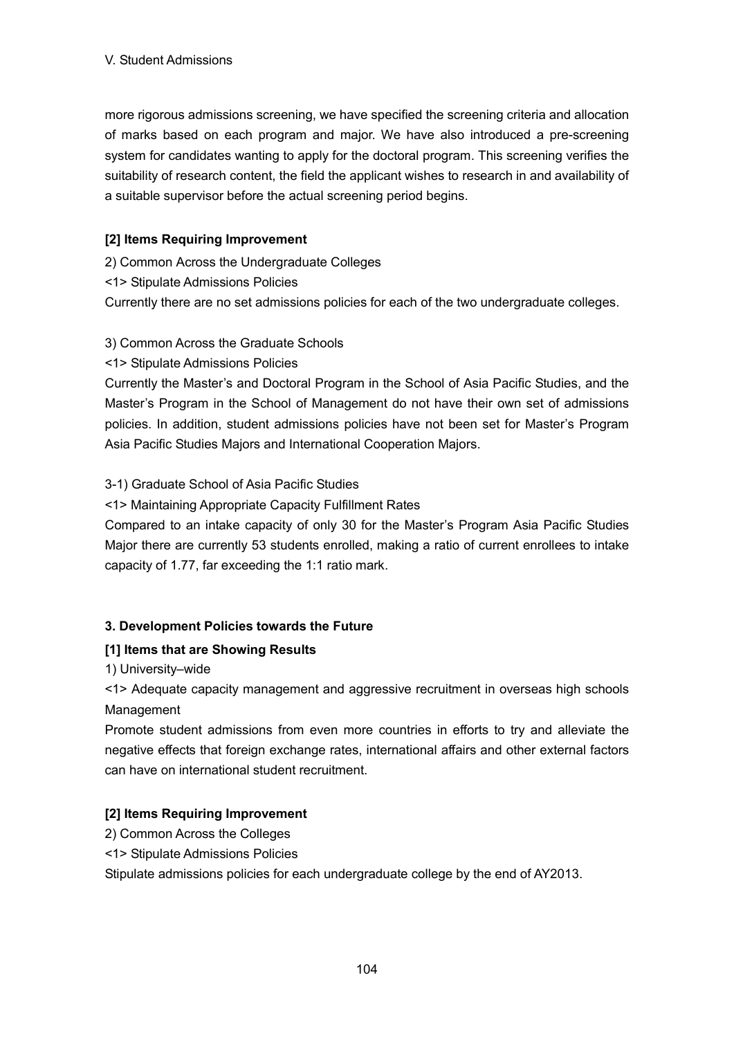more rigorous admissions screening, we have specified the screening criteria and allocation of marks based on each program and major. We have also introduced a pre-screening system for candidates wanting to apply for the doctoral program. This screening verifies the suitability of research content, the field the applicant wishes to research in and availability of a suitable supervisor before the actual screening period begins.

# **[2] Items Requiring Improvement**

2) Common Across the Undergraduate Colleges

<1> Stipulate Admissions Policies

Currently there are no set admissions policies for each of the two undergraduate colleges.

# 3) Common Across the Graduate Schools

<1> Stipulate Admissions Policies

Currently the Master's and Doctoral Program in the School of Asia Pacific Studies, and the Master's Program in the School of Management do not have their own set of admissions policies. In addition, student admissions policies have not been set for Master's Program Asia Pacific Studies Majors and International Cooperation Majors.

# 3-1) Graduate School of Asia Pacific Studies

<1> Maintaining Appropriate Capacity Fulfillment Rates

Compared to an intake capacity of only 30 for the Master's Program Asia Pacific Studies Major there are currently 53 students enrolled, making a ratio of current enrollees to intake capacity of 1.77, far exceeding the 1:1 ratio mark.

### **3. Development Policies towards the Future**

### **[1] Items that are Showing Results**

1) University–wide

<1> Adequate capacity management and aggressive recruitment in overseas high schools Management

Promote student admissions from even more countries in efforts to try and alleviate the negative effects that foreign exchange rates, international affairs and other external factors can have on international student recruitment.

# **[2] Items Requiring Improvement**

- 2) Common Across the Colleges
- <1> Stipulate Admissions Policies

Stipulate admissions policies for each undergraduate college by the end of AY2013.